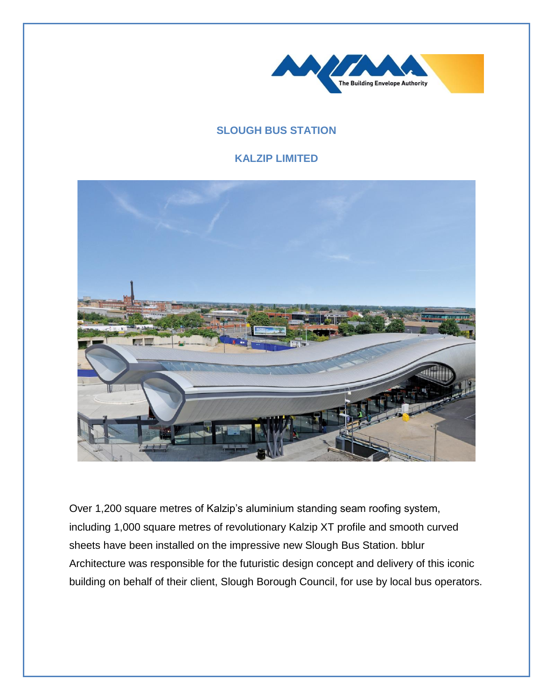

## **SLOUGH BUS STATION**

## **KALZIP LIMITED**



Over 1,200 square metres of Kalzip's aluminium standing seam roofing system, including 1,000 square metres of revolutionary Kalzip XT profile and smooth curved sheets have been installed on the impressive new Slough Bus Station. bblur Architecture was responsible for the futuristic design concept and delivery of this iconic building on behalf of their client, Slough Borough Council, for use by local bus operators.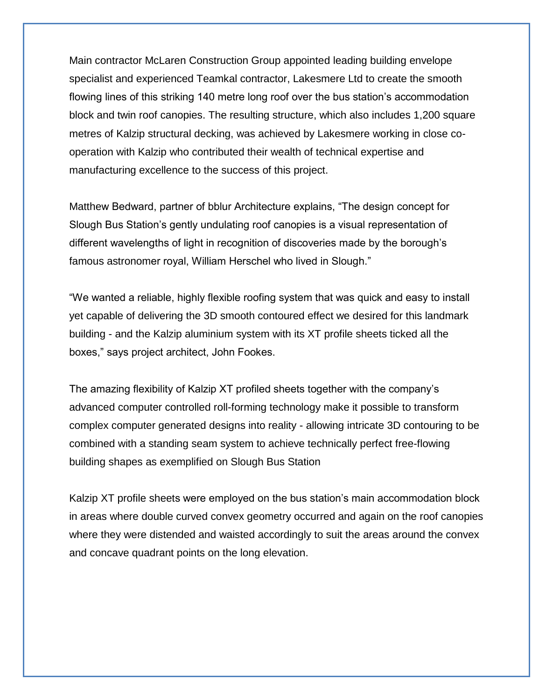Main contractor McLaren Construction Group appointed leading building envelope specialist and experienced Teamkal contractor, Lakesmere Ltd to create the smooth flowing lines of this striking 140 metre long roof over the bus station's accommodation block and twin roof canopies. The resulting structure, which also includes 1,200 square metres of Kalzip structural decking, was achieved by Lakesmere working in close cooperation with Kalzip who contributed their wealth of technical expertise and manufacturing excellence to the success of this project.

Matthew Bedward, partner of bblur Architecture explains, "The design concept for Slough Bus Station's gently undulating roof canopies is a visual representation of different wavelengths of light in recognition of discoveries made by the borough's famous astronomer royal, William Herschel who lived in Slough."

"We wanted a reliable, highly flexible roofing system that was quick and easy to install yet capable of delivering the 3D smooth contoured effect we desired for this landmark building - and the Kalzip aluminium system with its XT profile sheets ticked all the boxes," says project architect, John Fookes.

The amazing flexibility of Kalzip XT profiled sheets together with the company's advanced computer controlled roll-forming technology make it possible to transform complex computer generated designs into reality - allowing intricate 3D contouring to be combined with a standing seam system to achieve technically perfect free-flowing building shapes as exemplified on Slough Bus Station

Kalzip XT profile sheets were employed on the bus station's main accommodation block in areas where double curved convex geometry occurred and again on the roof canopies where they were distended and waisted accordingly to suit the areas around the convex and concave quadrant points on the long elevation.